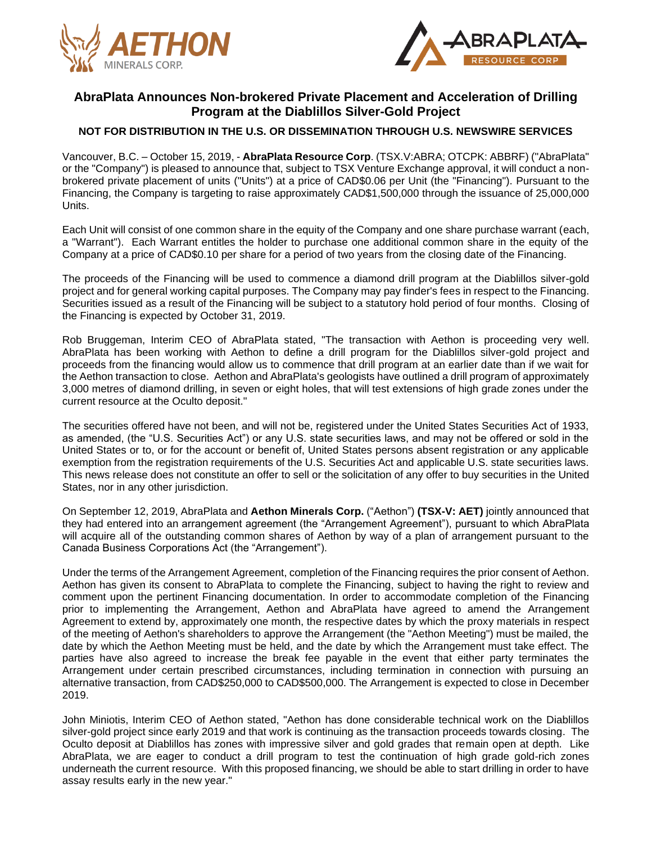



# **AbraPlata Announces Non-brokered Private Placement and Acceleration of Drilling Program at the Diablillos Silver-Gold Project**

# **NOT FOR DISTRIBUTION IN THE U.S. OR DISSEMINATION THROUGH U.S. NEWSWIRE SERVICES**

Vancouver, B.C. – October 15, 2019, - **AbraPlata Resource Corp**. (TSX.V:ABRA; OTCPK: ABBRF) ("AbraPlata" or the "Company") is pleased to announce that, subject to TSX Venture Exchange approval, it will conduct a nonbrokered private placement of units ("Units") at a price of CAD\$0.06 per Unit (the "Financing"). Pursuant to the Financing, the Company is targeting to raise approximately CAD\$1,500,000 through the issuance of 25,000,000 Units.

Each Unit will consist of one common share in the equity of the Company and one share purchase warrant (each, a "Warrant"). Each Warrant entitles the holder to purchase one additional common share in the equity of the Company at a price of CAD\$0.10 per share for a period of two years from the closing date of the Financing.

The proceeds of the Financing will be used to commence a diamond drill program at the Diablillos silver-gold project and for general working capital purposes. The Company may pay finder's fees in respect to the Financing. Securities issued as a result of the Financing will be subject to a statutory hold period of four months. Closing of the Financing is expected by October 31, 2019.

Rob Bruggeman, Interim CEO of AbraPlata stated, "The transaction with Aethon is proceeding very well. AbraPlata has been working with Aethon to define a drill program for the Diablillos silver-gold project and proceeds from the financing would allow us to commence that drill program at an earlier date than if we wait for the Aethon transaction to close. Aethon and AbraPlata's geologists have outlined a drill program of approximately 3,000 metres of diamond drilling, in seven or eight holes, that will test extensions of high grade zones under the current resource at the Oculto deposit."

The securities offered have not been, and will not be, registered under the United States Securities Act of 1933, as amended, (the "U.S. Securities Act") or any U.S. state securities laws, and may not be offered or sold in the United States or to, or for the account or benefit of, United States persons absent registration or any applicable exemption from the registration requirements of the U.S. Securities Act and applicable U.S. state securities laws. This news release does not constitute an offer to sell or the solicitation of any offer to buy securities in the United States, nor in any other jurisdiction.

On September 12, 2019, AbraPlata and **Aethon Minerals Corp.** ("Aethon") **(TSX-V: AET)** jointly announced that they had entered into an arrangement agreement (the "Arrangement Agreement"), pursuant to which AbraPlata will acquire all of the outstanding common shares of Aethon by way of a plan of arrangement pursuant to the Canada Business Corporations Act (the "Arrangement").

Under the terms of the Arrangement Agreement, completion of the Financing requires the prior consent of Aethon. Aethon has given its consent to AbraPlata to complete the Financing, subject to having the right to review and comment upon the pertinent Financing documentation. In order to accommodate completion of the Financing prior to implementing the Arrangement, Aethon and AbraPlata have agreed to amend the Arrangement Agreement to extend by, approximately one month, the respective dates by which the proxy materials in respect of the meeting of Aethon's shareholders to approve the Arrangement (the "Aethon Meeting") must be mailed, the date by which the Aethon Meeting must be held, and the date by which the Arrangement must take effect. The parties have also agreed to increase the break fee payable in the event that either party terminates the Arrangement under certain prescribed circumstances, including termination in connection with pursuing an alternative transaction, from CAD\$250,000 to CAD\$500,000. The Arrangement is expected to close in December 2019.

John Miniotis, Interim CEO of Aethon stated, "Aethon has done considerable technical work on the Diablillos silver-gold project since early 2019 and that work is continuing as the transaction proceeds towards closing. The Oculto deposit at Diablillos has zones with impressive silver and gold grades that remain open at depth. Like AbraPlata, we are eager to conduct a drill program to test the continuation of high grade gold-rich zones underneath the current resource. With this proposed financing, we should be able to start drilling in order to have assay results early in the new year."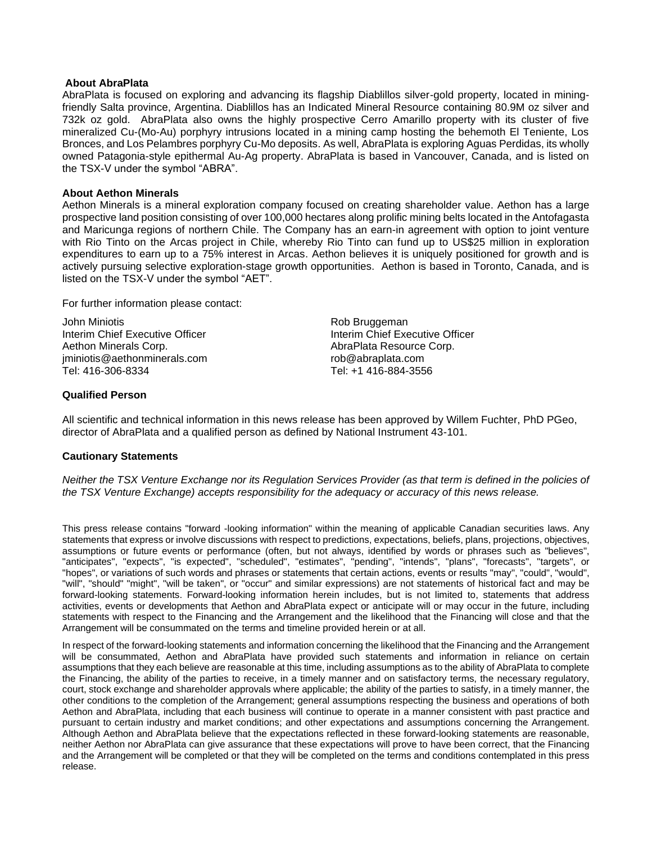#### **About AbraPlata**

AbraPlata is focused on exploring and advancing its flagship Diablillos silver-gold property, located in miningfriendly Salta province, Argentina. Diablillos has an Indicated Mineral Resource containing 80.9M oz silver and 732k oz gold. AbraPlata also owns the highly prospective Cerro Amarillo property with its cluster of five mineralized Cu-(Mo-Au) porphyry intrusions located in a mining camp hosting the behemoth El Teniente, Los Bronces, and Los Pelambres porphyry Cu-Mo deposits. As well, AbraPlata is exploring Aguas Perdidas, its wholly owned Patagonia-style epithermal Au-Ag property. AbraPlata is based in Vancouver, Canada, and is listed on the TSX-V under the symbol "ABRA".

#### **About Aethon Minerals**

Aethon Minerals is a mineral exploration company focused on creating shareholder value. Aethon has a large prospective land position consisting of over 100,000 hectares along prolific mining belts located in the Antofagasta and Maricunga regions of northern Chile. The Company has an earn-in agreement with option to joint venture with Rio Tinto on the Arcas project in Chile, whereby Rio Tinto can fund up to US\$25 million in exploration expenditures to earn up to a 75% interest in Arcas. Aethon believes it is uniquely positioned for growth and is actively pursuing selective exploration-stage growth opportunities. Aethon is based in Toronto, Canada, and is listed on the TSX-V under the symbol "AET".

For further information please contact:

John Miniotis **No. 2018 Rob Bruggeman** Interim Chief Executive Officer **Interim Chief Executive Officer** Aethon Minerals Corp. **Abraic Corp.** AbraPlata Resource Corp. jminiotis@aethonminerals.com rob@abraplata.com

Tel: 416-306-8334 Tel: +1 416-884-3556

## **Qualified Person**

All scientific and technical information in this news release has been approved by Willem Fuchter, PhD PGeo, director of AbraPlata and a qualified person as defined by National Instrument 43-101.

## **Cautionary Statements**

Neither the TSX Venture Exchange nor its Regulation Services Provider (as that term is defined in the policies of *the TSX Venture Exchange) accepts responsibility for the adequacy or accuracy of this news release.*

This press release contains "forward -looking information" within the meaning of applicable Canadian securities laws. Any statements that express or involve discussions with respect to predictions, expectations, beliefs, plans, projections, objectives, assumptions or future events or performance (often, but not always, identified by words or phrases such as "believes", "anticipates", "expects", "is expected", "scheduled", "estimates", "pending", "intends", "plans", "forecasts", "targets", or "hopes", or variations of such words and phrases or statements that certain actions, events or results "may", "could", "would", "will", "should" "might", "will be taken", or "occur" and similar expressions) are not statements of historical fact and may be forward-looking statements. Forward-looking information herein includes, but is not limited to, statements that address activities, events or developments that Aethon and AbraPlata expect or anticipate will or may occur in the future, including statements with respect to the Financing and the Arrangement and the likelihood that the Financing will close and that the Arrangement will be consummated on the terms and timeline provided herein or at all.

In respect of the forward-looking statements and information concerning the likelihood that the Financing and the Arrangement will be consummated, Aethon and AbraPlata have provided such statements and information in reliance on certain assumptions that they each believe are reasonable at this time, including assumptions as to the ability of AbraPlata to complete the Financing, the ability of the parties to receive, in a timely manner and on satisfactory terms, the necessary regulatory, court, stock exchange and shareholder approvals where applicable; the ability of the parties to satisfy, in a timely manner, the other conditions to the completion of the Arrangement; general assumptions respecting the business and operations of both Aethon and AbraPlata, including that each business will continue to operate in a manner consistent with past practice and pursuant to certain industry and market conditions; and other expectations and assumptions concerning the Arrangement. Although Aethon and AbraPlata believe that the expectations reflected in these forward-looking statements are reasonable, neither Aethon nor AbraPlata can give assurance that these expectations will prove to have been correct, that the Financing and the Arrangement will be completed or that they will be completed on the terms and conditions contemplated in this press release.